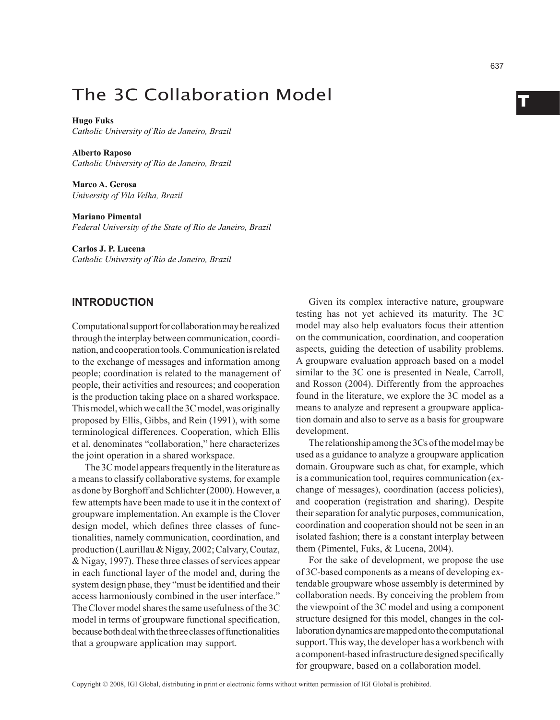# The 3C Collaboration Model

**Hugo Fuks**

*Catholic University of Rio de Janeiro, Brazil*

**Alberto Raposo** *Catholic University of Rio de Janeiro, Brazil*

**Marco A. Gerosa** *University of Vila Velha, Brazil*

**Mariano Pimental**

*Federal University of the State of Rio de Janeiro, Brazil*

**Carlos J. P. Lucena** *Catholic University of Rio de Janeiro, Brazil*

#### **INTRODUCTION**

Computational support for collaboration may be realized through the interplay between communication, coordination, and cooperation tools. Communication is related to the exchange of messages and information among people; coordination is related to the management of people, their activities and resources; and cooperation is the production taking place on a shared workspace. This model, which we call the 3C model, was originally proposed by Ellis, Gibbs, and Rein (1991), with some terminological differences. Cooperation, which Ellis et al. denominates "collaboration," here characterizes the joint operation in a shared workspace.

The 3C model appears frequently in the literature as a means to classify collaborative systems, for example as done by Borghoff and Schlichter (2000). However, a few attempts have been made to use it in the context of groupware implementation. An example is the Clover design model, which defines three classes of functionalities, namely communication, coordination, and production (Laurillau & Nigay, 2002; Calvary, Coutaz, & Nigay, 1997). These three classes of services appear in each functional layer of the model and, during the system design phase, they "must be identified and their access harmoniously combined in the user interface." The Clover model shares the same usefulness of the 3C model in terms of groupware functional specification, because both deal with the three classes of functionalities that a groupware application may support.

Given its complex interactive nature, groupware testing has not yet achieved its maturity. The 3C model may also help evaluators focus their attention on the communication, coordination, and cooperation aspects, guiding the detection of usability problems. A groupware evaluation approach based on a model similar to the 3C one is presented in Neale, Carroll, and Rosson  $(2004)$ . Differently from the approaches found in the literature, we explore the 3C model as a means to analyze and represent a groupware application domain and also to serve as a basis for groupware development.

The relationship among the 3Cs of the model may be used as a guidance to analyze a groupware application domain. Groupware such as chat, for example, which is a communication tool, requires communication (exchange of messages), coordination (access policies), and cooperation (registration and sharing). Despite their separation for analytic purposes, communication, coordination and cooperation should not be seen in an isolated fashion; there is a constant interplay between them (Pimentel, Fuks, & Lucena, 2004).

For the sake of development, we propose the use of 3C-based components as a means of developing extendable groupware whose assembly is determined by collaboration needs. By conceiving the problem from the viewpoint of the 3C model and using a component structure designed for this model, changes in the collaboration dynamics are mapped onto the computational support. This way, the developer has a workbench with a component-based infrastructure designed specifically for groupware, based on a collaboration model.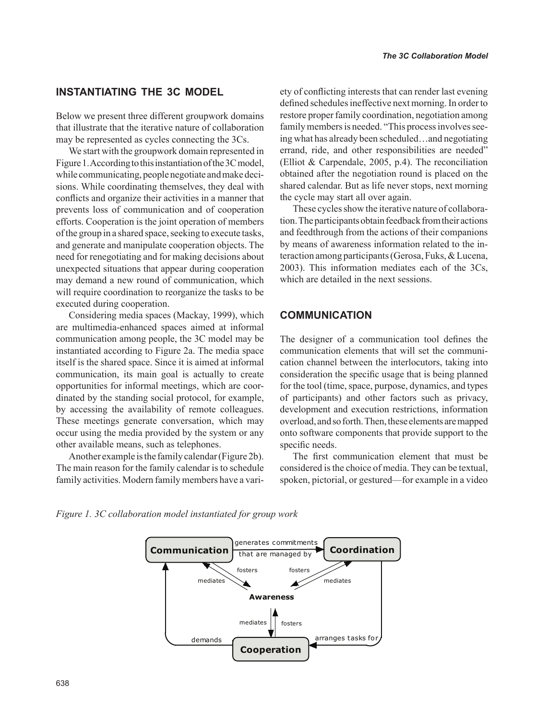## **INSTANTIATING THE 3C MODEL**

Below we present three different groupwork domains that illustrate that the iterative nature of collaboration may be represented as cycles connecting the 3Cs.

We start with the groupwork domain represented in Figure 1. According to this instantiation of the 3C model, while communicating, people negotiate and make decisions. While coordinating themselves, they deal with conflicts and organize their activities in a manner that prevents loss of communication and of cooperation efforts. Cooperation is the joint operation of members of the group in a shared space, seeking to execute tasks, and generate and manipulate cooperation objects. The need for renegotiating and for making decisions about unexpected situations that appear during cooperation may demand a new round of communication, which will require coordination to reorganize the tasks to be executed during cooperation.

Considering media spaces (Mackay, 1999), which are multimedia-enhanced spaces aimed at informal communication among people, the 3C model may be instantiated according to Figure 2a. The media space itself is the shared space. Since it is aimed at informal communication, its main goal is actually to create opportunities for informal meetings, which are coordinated by the standing social protocol, for example, by accessing the availability of remote colleagues. These meetings generate conversation, which may occur using the media provided by the system or any other available means, such as telephones.

Another example is the family calendar (Figure 2b). The main reason for the family calendar is to schedule family activities. Modern family members have a variety of conflicting interests that can render last evening defined schedules ineffective next morning. In order to restore proper family coordination, negotiation among family members is needed. "This process involves seeing what has already been scheduled…and negotiating errand, ride, and other responsibilities are needed" (Elliot & Carpendale, 2005, p.4). The reconciliation obtained after the negotiation round is placed on the shared calendar. But as life never stops, next morning the cycle may start all over again.

These cycles show the iterative nature of collaboration. The participants obtain feedback from their actions and feedthrough from the actions of their companions by means of awareness information related to the interaction among participants (Gerosa, Fuks, & Lucena, 2003). This information mediates each of the 3Cs, which are detailed in the next sessions.

#### **COMMUNICATION**

The designer of a communication tool defines the communication elements that will set the communication channel between the interlocutors, taking into consideration the specific usage that is being planned for the tool (time, space, purpose, dynamics, and types of participants) and other factors such as privacy, development and execution restrictions, information overload, and so forth. Then, these elements are mapped onto software components that provide support to the specific needs.

The first communication element that must be considered is the choice of media. They can be textual, spoken, pictorial, or gestured—for example in a video

*Figure 1. 3C collaboration model instantiated for group work*

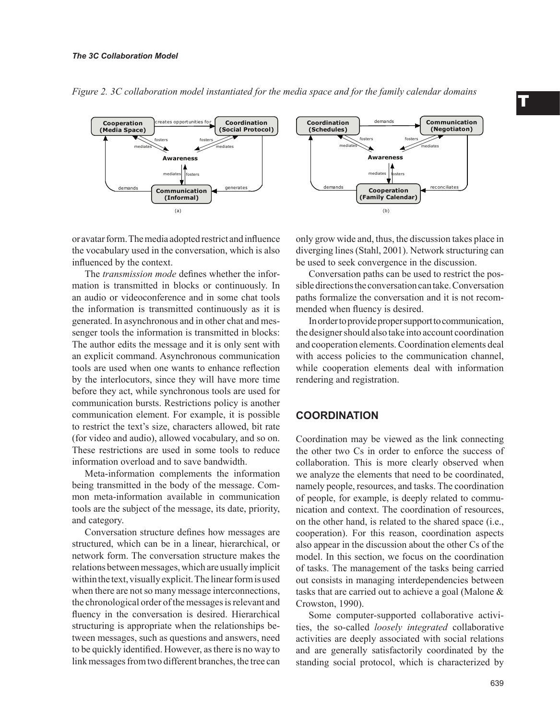



*Figure 2. 3C collaboration model instantiated for the media space and for the family calendar domains*

or avatar form. The media adopted restrict and influence the vocabulary used in the conversation, which is also influenced by the context.

The *transmission mode* defines whether the information is transmitted in blocks or continuously. In an audio or videoconference and in some chat tools the information is transmitted continuously as it is generated. In asynchronous and in other chat and messenger tools the information is transmitted in blocks: The author edits the message and it is only sent with an explicit command. Asynchronous communication tools are used when one wants to enhance reflection by the interlocutors, since they will have more time before they act, while synchronous tools are used for communication bursts. Restrictions policy is another communication element. For example, it is possible to restrict the text's size, characters allowed, bit rate (for video and audio), allowed vocabulary, and so on. These restrictions are used in some tools to reduce information overload and to save bandwidth.

Meta-information complements the information being transmitted in the body of the message. Common meta-information available in communication tools are the subject of the message, its date, priority, and category.

Conversation structure defines how messages are structured, which can be in a linear, hierarchical, or network form. The conversation structure makes the relations between messages, which are usually implicit within the text, visually explicit. The linear form is used when there are not so many message interconnections, the chronological order of the messages is relevant and fluency in the conversation is desired. Hierarchical structuring is appropriate when the relationships between messages, such as questions and answers, need to be quickly identified. However, as there is no way to link messages from two different branches, the tree can

only grow wide and, thus, the discussion takes place in diverging lines (Stahl, 2001). Network structuring can be used to seek convergence in the discussion.

Conversation paths can be used to restrict the possible directions the conversation can take. Conversation paths formalize the conversation and it is not recommended when fluency is desired.

In order to provide proper support to communication, the designer should also take into account coordination and cooperation elements. Coordination elements deal with access policies to the communication channel, while cooperation elements deal with information rendering and registration.

#### **COORDINATION**

Coordination may be viewed as the link connecting the other two Cs in order to enforce the success of collaboration. This is more clearly observed when we analyze the elements that need to be coordinated, namely people, resources, and tasks. The coordination of people, for example, is deeply related to communication and context. The coordination of resources, on the other hand, is related to the shared space (i.e., cooperation). For this reason, coordination aspects also appear in the discussion about the other Cs of the model. In this section, we focus on the coordination of tasks. The management of the tasks being carried out consists in managing interdependencies between tasks that are carried out to achieve a goal (Malone & Crowston, 1990).

Some computer-supported collaborative activities, the so-called *loosely integrated* collaborative activities are deeply associated with social relations and are generally satisfactorily coordinated by the standing social protocol, which is characterized by

T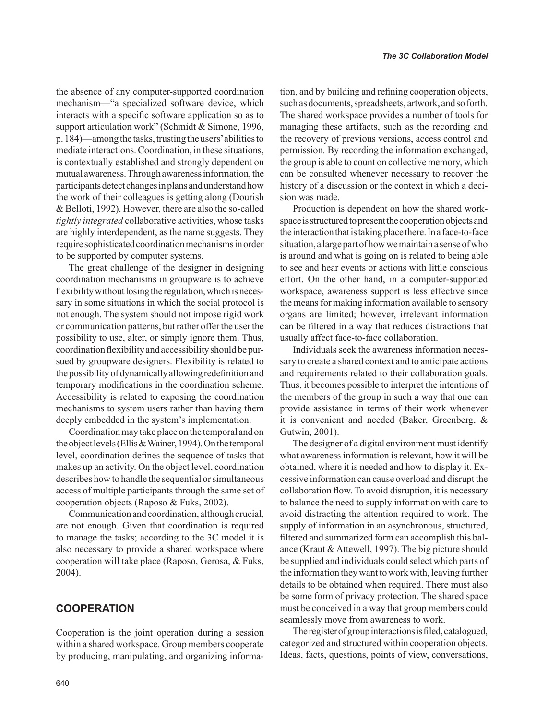the absence of any computer-supported coordination mechanism—"a specialized software device, which interacts with a specific software application so as to support articulation work" (Schmidt & Simone, 1996, p. 184)—among the tasks, trusting the users' abilities to mediate interactions. Coordination, in these situations, is contextually established and strongly dependent on mutual awareness. Through awareness information, the participants detect changes in plans and understand how the work of their colleagues is getting along (Dourish  $& Belloti, 1992$ ). However, there are also the so-called *tightly integrated* collaborative activities, whose tasks are highly interdependent, as the name suggests. They require sophisticated coordination mechanisms in order to be supported by computer systems.

The great challenge of the designer in designing coordination mechanisms in groupware is to achieve flexibility without losing the regulation, which is necessary in some situations in which the social protocol is not enough. The system should not impose rigid work or communication patterns, but rather offer the user the possibility to use, alter, or simply ignore them. Thus, coordination flexibility and accessibility should be pursued by groupware designers. Flexibility is related to the possibility of dynamically allowing redefinition and temporary modifications in the coordination scheme. Accessibility is related to exposing the coordination mechanisms to system users rather than having them deeply embedded in the system's implementation.

Coordination may take place on the temporal and on the object levels (Ellis & Wainer, 1994). On the temporal level, coordination defines the sequence of tasks that makes up an activity. On the object level, coordination describes how to handle the sequential or simultaneous access of multiple participants through the same set of cooperation objects (Raposo & Fuks, 2002).

Communication and coordination, although crucial, are not enough. Given that coordination is required to manage the tasks; according to the 3C model it is also necessary to provide a shared workspace where cooperation will take place (Raposo, Gerosa,  $& Fuks$ , 2004).

#### **COOPERATION**

Cooperation is the joint operation during a session within a shared workspace. Group members cooperate by producing, manipulating, and organizing information, and by building and refining cooperation objects, such as documents, spreadsheets, artwork, and so forth. The shared workspace provides a number of tools for managing these artifacts, such as the recording and the recovery of previous versions, access control and permission. By recording the information exchanged, the group is able to count on collective memory, which can be consulted whenever necessary to recover the history of a discussion or the context in which a decision was made.

Production is dependent on how the shared workspace is structured to present the cooperation objects and the interaction that is taking place there. In a face-to-face situation, a large part of how we maintain a sense of who is around and what is going on is related to being able to see and hear events or actions with little conscious effort. On the other hand, in a computer-supported workspace, awareness support is less effective since the means for making information available to sensory organs are limited; however, irrelevant information can be filtered in a way that reduces distractions that usually affect face-to-face collaboration.

Individuals seek the awareness information necessary to create a shared context and to anticipate actions and requirements related to their collaboration goals. Thus, it becomes possible to interpret the intentions of the members of the group in such a way that one can provide assistance in terms of their work whenever it is convenient and needed (Baker, Greenberg, & Gutwin, 2001).

The designer of a digital environment must identify what awareness information is relevant, how it will be obtained, where it is needed and how to display it. Excessive information can cause overload and disrupt the collaboration flow. To avoid disruption, it is necessary to balance the need to supply information with care to avoid distracting the attention required to work. The supply of information in an asynchronous, structured, filtered and summarized form can accomplish this balance (Kraut & Attewell, 1997). The big picture should be supplied and individuals could select which parts of the information they want to work with, leaving further details to be obtained when required. There must also be some form of privacy protection. The shared space must be conceived in a way that group members could seamlessly move from awareness to work.

The register of group interactions is filed, catalogued, categorized and structured within cooperation objects. Ideas, facts, questions, points of view, conversations,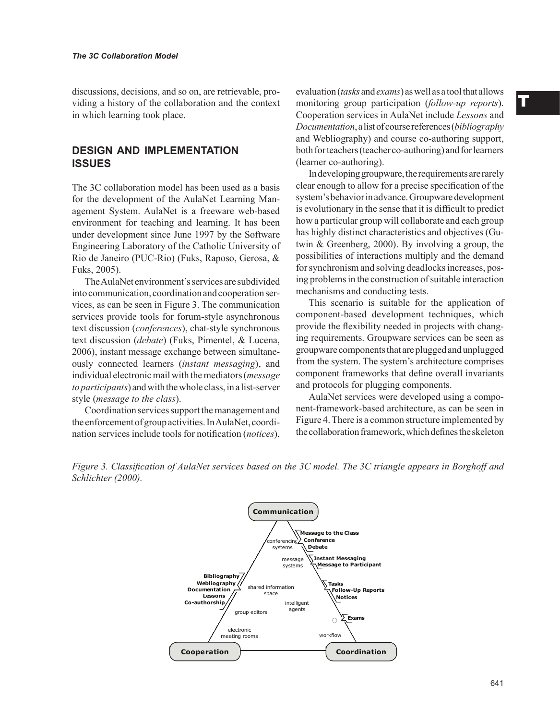discussions, decisions, and so on, are retrievable, pro-<br>valuation (tasks and exams) as well as a tool that allows<br>viding a history of the collaboration and the context monitoring group participation (follow-up reports). viding a history of the collaboration and the context in which learning took place.

## **DESIGN AND IMPLEMENTATION ISSUES**

The 3C collaboration model has been used as a basis for the development of the AulaNet Learning Management System. AulaNet is a freeware web-based environment for teaching and learning. It has been under development since June 1997 by the Software Engineering Laboratory of the Catholic University of Rio de Janeiro (PUC-Rio) (Fuks, Raposo, Gerosa, & Fuks, 2005).

The AulaNet environment's services are subdivided into communication, coordination and cooperation services, as can be seen in Figure 3. The communication services provide tools for forum-style asynchronous text discussion (*conferences*), chat-style synchronous text discussion (*debate*) (Fuks, Pimentel, & Lucena, 2006), instant message exchange between simultaneously connected learners (*instant messaging*), and individual electronic mail with the mediators (*message to participants*) and with the whole class, in a list-server style (*message to the class*).

Coordination services support the management and the enforcement of group activities. In AulaNet, coordination services include tools for notification (*notices*),

evaluation (*tasks* and *exams*) as well as a tool that allows monitoring group participation (*follow-up reports*). Cooperation services in AulaNet include *Lessons* and *Documentation*, a list of course references (*bibliography* and Webliography) and course co-authoring support, both for teachers (teacher co-authoring) and for learners (learner co-authoring).

In developing groupware, the requirements are rarely clear enough to allow for a precise specification of the system's behavior in advance. Groupware development is evolutionary in the sense that it is difficult to predict how a particular group will collaborate and each group has highly distinct characteristics and objectives (Gutwin & Greenberg, 2000). By involving a group, the possibilities of interactions multiply and the demand for synchronism and solving deadlocks increases, posing problems in the construction of suitable interaction mechanisms and conducting tests.

This scenario is suitable for the application of component-based development techniques, which provide the flexibility needed in projects with changing requirements. Groupware services can be seen as groupware components that are plugged and unplugged from the system. The system's architecture comprises component frameworks that define overall invariants and protocols for plugging components.

AulaNet services were developed using a component-framework-based architecture, as can be seen in Figure 4. There is a common structure implemented by the collaboration framework, which defines the skeleton

*Figure 3. Classification of AulaNet services based on the 3C model. The 3C triangle appears in Borghoff and Schlichter (2000).* 

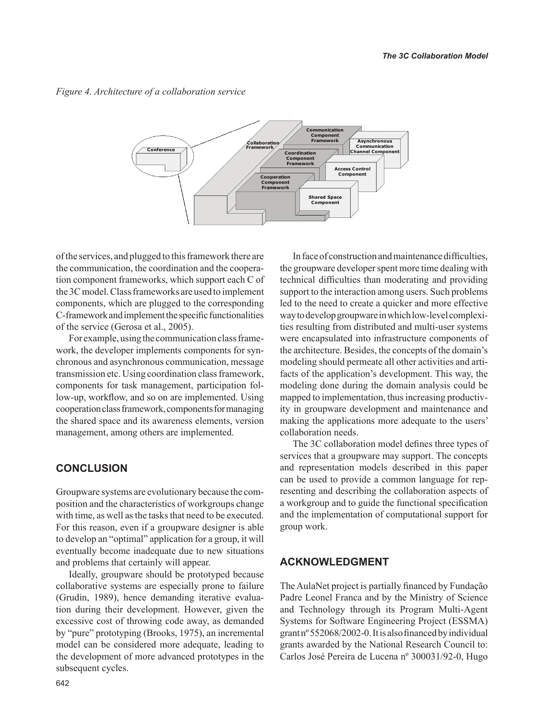*Figure 4. Architecture of a collaboration service*



of the services, and plugged to this framework there are the communication, the coordination and the cooperation component frameworks, which support each C of the 3C model. Class frameworks are used to implement components, which are plugged to the corresponding C-framework and implement the specific functionalities of the service (Gerosa et al., 2005).

For example, using the communication class framework, the developer implements components for synchronous and asynchronous communication, message transmission etc. Using coordination class framework, components for task management, participation follow-up, workflow, and so on are implemented. Using cooperation class framework, components for managing the shared space and its awareness elements, version management, among others are implemented.

## **CONCLUSION**

Groupware systems are evolutionary because the composition and the characteristics of workgroups change with time, as well as the tasks that need to be executed. For this reason, even if a groupware designer is able to develop an "optimal" application for a group, it will eventually become inadequate due to new situations and problems that certainly will appear.

Ideally, groupware should be prototyped because collaborative systems are especially prone to failure (Grudin, 1989), hence demanding iterative evaluation during their development. However, given the excessive cost of throwing code away, as demanded by "pure" prototyping (Brooks, 1975), an incremental model can be considered more adequate, leading to the development of more advanced prototypes in the subsequent cycles.

In face of construction and maintenance difficulties, the groupware developer spent more time dealing with technical difficulties than moderating and providing support to the interaction among users. Such problems led to the need to create a quicker and more effective way to develop groupware in which low-level complexities resulting from distributed and multi-user systems were encapsulated into infrastructure components of the architecture. Besides, the concepts of the domain's modeling should permeate all other activities and artifacts of the application's development. This way, the modeling done during the domain analysis could be mapped to implementation, thus increasing productivity in groupware development and maintenance and making the applications more adequate to the users' collaboration needs.

The 3C collaboration model defines three types of services that a groupware may support. The concepts and representation models described in this paper can be used to provide a common language for representing and describing the collaboration aspects of a workgroup and to guide the functional specification and the implementation of computational support for group work.

## **ACKNOWLEDGMENT**

The AulaNet project is partially financed by Fundação Padre Leonel Franca and by the Ministry of Science and Technology through its Program Multi-Agent Systems for Software Engineering Project (ESSMA) grant  $n^{\circ}$  552068/2002-0. It is also financed by individual grants awarded by the National Research Council to: Carlos José Pereira de Lucena nº 300031/92-0, Hugo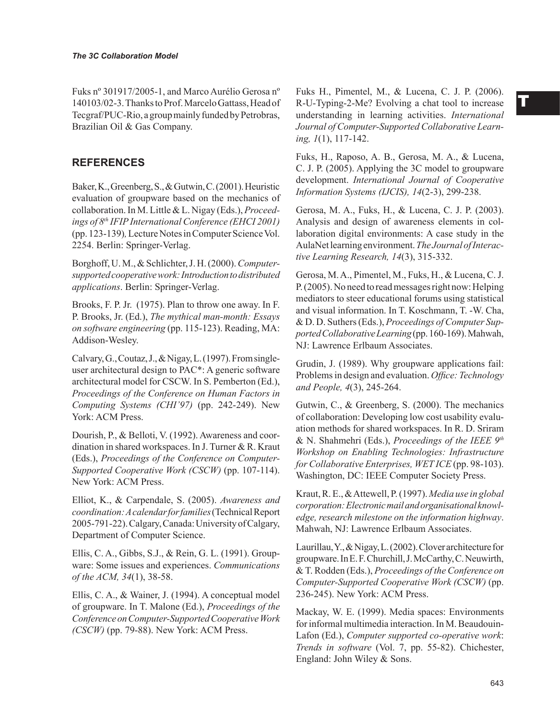Fuks nº 301917/2005-1, and Marco Aurélio Gerosa nº Fuks H., Pimentel, M., & Lucena, C. J. P. (2006).<br>140103/02-3. Thanks to Prof. Marcelo Gattass, Head of R-U-Typing-2-Me? Evolving a chat tool to increase 140103/02-3. Thanks to Prof. Marcelo Gattass, Head of Tecgraf/PUC-Rio, a group mainly funded by Petrobras, Brazilian Oil & Gas Company.

## **REFERENCES**

Baker, K., Greenberg, S., & Gutwin, C. (2001). Heuristic evaluation of groupware based on the mechanics of collaboration. In M. Little & L. Nigay (Eds.), *Proceedings of 8<sup>th</sup>* IFIP International Conference (EHCI 2001) (pp. 123-139), Lecture Notes in Computer Science Vol. 2254. Berlin: Springer-Verlag.

Borghoff, U. M., & Schlichter, J. H. (2000). Computer*supported cooperative work: Introduction to distributed applications*. Berlin: Springer-Verlag.

Brooks, F. P. Jr. (1975). Plan to throw one away. In F. P. Brooks, Jr. (Ed.), *The mythical man-month: Essays on software engineering* (pp. 115-123). Reading, MA: Addison-Wesley.

Calvary, G., Coutaz, J., & Nigay, L. (1997). From singleuser architectural design to PAC\*: A generic software architectural model for CSCW. In S. Pemberton (Ed.), *Proceedings of the Conference on Human Factors in Computing Systems (CHI'97)* (pp. 242-249). New York: ACM Press.

Dourish, P., & Belloti, V. (1992). Awareness and coordination in shared workspaces. In J. Turner & R. Kraut (Eds.), *Proceedings of the Conference on Computer-Supported Cooperative Work (CSCW)* (pp. 107-114). New York: ACM Press.

Elliot, K., & Carpendale, S. (2005). *Awareness and coordination: A calendar for families* (Technical Report 2005-791-22). Calgary, Canada: University of Calgary, Department of Computer Science.

Ellis, C. A., Gibbs, S.J.,  $\&$  Rein, G. L. (1991). Groupware: Some issues and experiences. *Communications of the ACM, 34*(1), 38-58.

Ellis, C. A., & Wainer, J. (1994). A conceptual model of groupware. In T. Malone (Ed.), *Proceedings of the Conference on Computer-Supported Cooperative Work (CSCW)* (pp. 79-88). New York: ACM Press.

R-U-Typing-2-Me? Evolving a chat tool to increase understanding in learning activities. *International Journal of Computer-Supported Collaborative Learning, 1*(1), 117-142.

Fuks, H., Raposo, A. B., Gerosa, M. A., & Lucena, C. J. P. (2005). Applying the 3C model to groupware development. *International Journal of Cooperative Information Systems (IJCIS), 14*(2-3), 299-238.

Gerosa, M. A., Fuks, H., & Lucena, C. J. P. (2003). Analysis and design of awareness elements in collaboration digital environments: A case study in the AulaNet learning environment. *The Journal of Interactive Learning Research, 14*(3), 315-332.

Gerosa, M. A., Pimentel, M., Fuks, H., & Lucena, C. J.  $P(2005)$ . No need to read messages right now: Helping mediators to steer educational forums using statistical and visual information. In T. Koschmann, T. -W. Cha, & D. D. Suthers (Eds.), *Proceedings of Computer Supported Collaborative Learning* (pp. 160-169). Mahwah, NJ: Lawrence Erlbaum Associates.

Grudin, J. (1989). Why groupware applications fail: Problems in design and evaluation. *Office: Technology and People, 4*(3), 245-264.

Gutwin, C., & Greenberg, S. (2000). The mechanics of collaboration: Developing low cost usability evaluation methods for shared workspaces. In R. D. Sriram & N. Shahmehri (Eds.), *Proceedings of the IEEE 9th Workshop on Enabling Technologies: Infrastructure for Collaborative Enterprises, WET ICE* (pp. 98-103). Washington, DC: IEEE Computer Society Press.

Kraut, R. E., & Attewell, P. (1997). *Media use in global corporation: Electronic mail and organisational knowledge, research milestone on the information highway*. Mahwah, NJ: Lawrence Erlbaum Associates.

Laurillau, Y., & Nigay, L. (2002). Clover architecture for groupware. In E. F. Churchill, J. McCarthy, C. Neuwirth,  $&$  T. Rodden (Eds.), *Proceedings of the Conference on*  $Computer-Supported Cooperative Work (CSCW)$  (pp. 236-245). New York: ACM Press.

Mackay, W. E. (1999). Media spaces: Environments for informal multimedia interaction. In M. Beaudouin-Lafon (Ed.), *Computer supported co-operative work*: *Trends in software* (Vol. 7, pp. 55-82). Chichester, England: John Wiley & Sons.